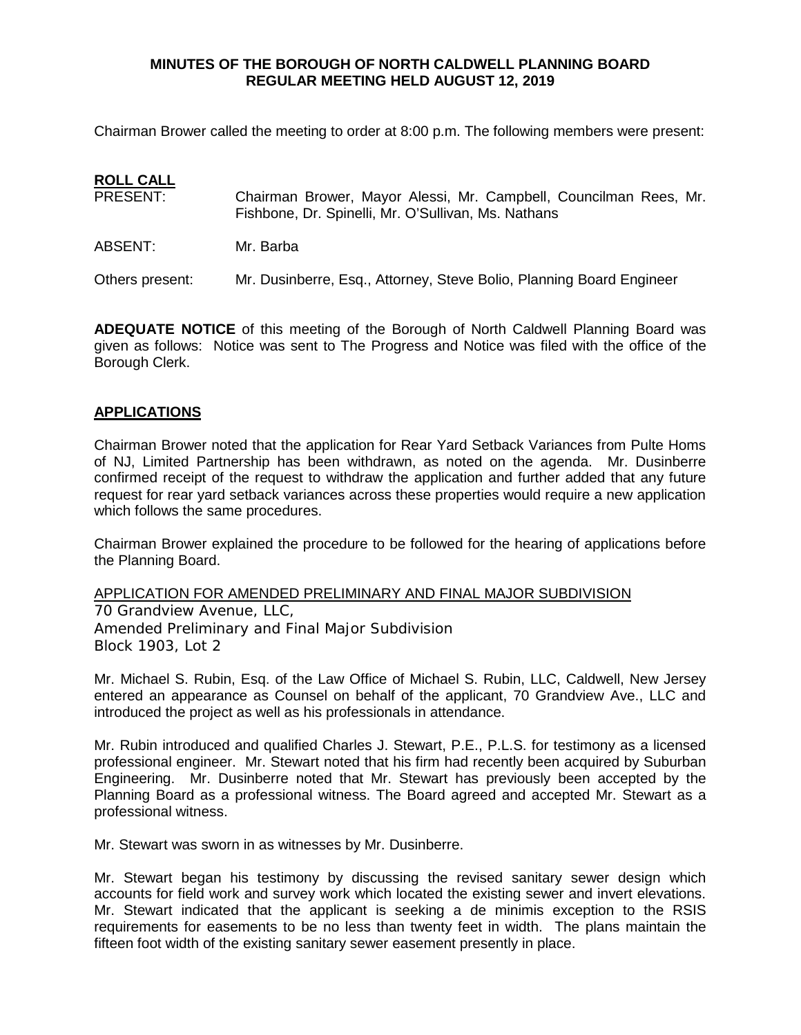Chairman Brower called the meeting to order at 8:00 p.m. The following members were present:

# **ROLL CALL**<br>PRESENT:

- Chairman Brower, Mayor Alessi, Mr. Campbell, Councilman Rees, Mr. Fishbone, Dr. Spinelli, Mr. O'Sullivan, Ms. Nathans
- ABSENT: Mr. Barba

Others present: Mr. Dusinberre, Esq., Attorney, Steve Bolio, Planning Board Engineer

**ADEQUATE NOTICE** of this meeting of the Borough of North Caldwell Planning Board was given as follows: Notice was sent to The Progress and Notice was filed with the office of the Borough Clerk.

# **APPLICATIONS**

Chairman Brower noted that the application for Rear Yard Setback Variances from Pulte Homs of NJ, Limited Partnership has been withdrawn, as noted on the agenda. Mr. Dusinberre confirmed receipt of the request to withdraw the application and further added that any future request for rear yard setback variances across these properties would require a new application which follows the same procedures.

Chairman Brower explained the procedure to be followed for the hearing of applications before the Planning Board.

APPLICATION FOR AMENDED PRELIMINARY AND FINAL MAJOR SUBDIVISION

70 Grandview Avenue, LLC, Amended Preliminary and Final Major Subdivision Block 1903, Lot 2

Mr. Michael S. Rubin, Esq. of the Law Office of Michael S. Rubin, LLC, Caldwell, New Jersey entered an appearance as Counsel on behalf of the applicant, 70 Grandview Ave., LLC and introduced the project as well as his professionals in attendance.

Mr. Rubin introduced and qualified Charles J. Stewart, P.E., P.L.S. for testimony as a licensed professional engineer. Mr. Stewart noted that his firm had recently been acquired by Suburban Engineering. Mr. Dusinberre noted that Mr. Stewart has previously been accepted by the Planning Board as a professional witness. The Board agreed and accepted Mr. Stewart as a professional witness.

Mr. Stewart was sworn in as witnesses by Mr. Dusinberre.

Mr. Stewart began his testimony by discussing the revised sanitary sewer design which accounts for field work and survey work which located the existing sewer and invert elevations. Mr. Stewart indicated that the applicant is seeking a de minimis exception to the RSIS requirements for easements to be no less than twenty feet in width. The plans maintain the fifteen foot width of the existing sanitary sewer easement presently in place.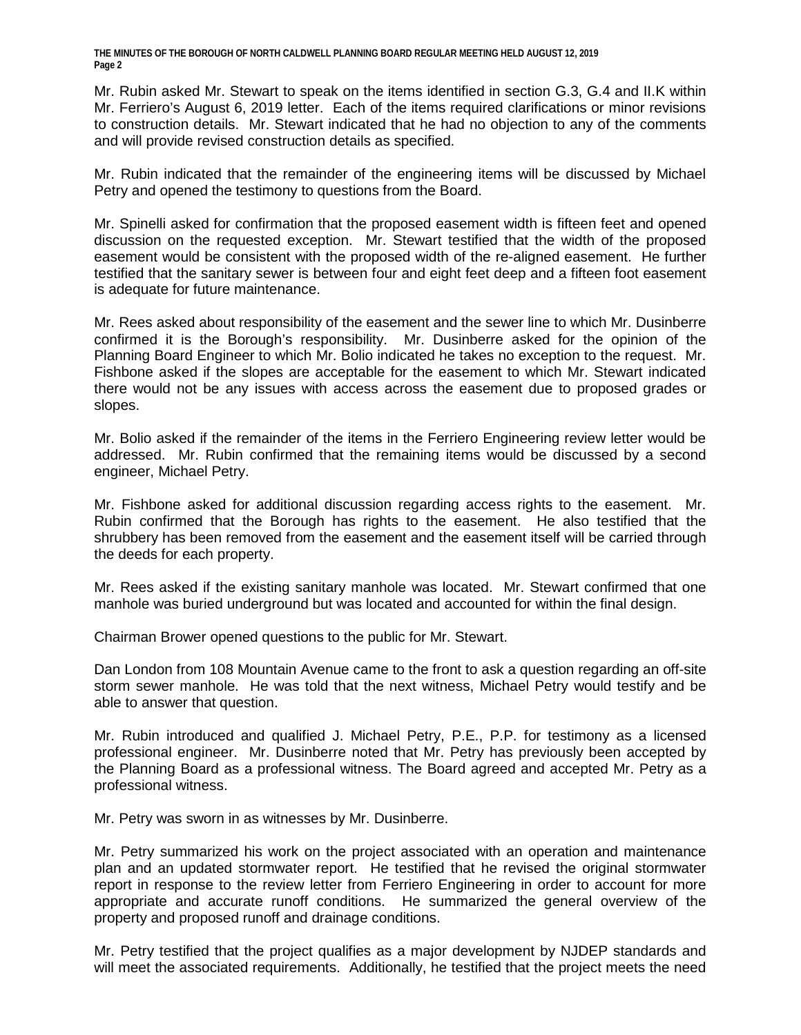Mr. Rubin asked Mr. Stewart to speak on the items identified in section G.3, G.4 and II.K within Mr. Ferriero's August 6, 2019 letter. Each of the items required clarifications or minor revisions to construction details. Mr. Stewart indicated that he had no objection to any of the comments and will provide revised construction details as specified.

Mr. Rubin indicated that the remainder of the engineering items will be discussed by Michael Petry and opened the testimony to questions from the Board.

Mr. Spinelli asked for confirmation that the proposed easement width is fifteen feet and opened discussion on the requested exception. Mr. Stewart testified that the width of the proposed easement would be consistent with the proposed width of the re-aligned easement. He further testified that the sanitary sewer is between four and eight feet deep and a fifteen foot easement is adequate for future maintenance.

Mr. Rees asked about responsibility of the easement and the sewer line to which Mr. Dusinberre confirmed it is the Borough's responsibility. Mr. Dusinberre asked for the opinion of the Planning Board Engineer to which Mr. Bolio indicated he takes no exception to the request. Mr. Fishbone asked if the slopes are acceptable for the easement to which Mr. Stewart indicated there would not be any issues with access across the easement due to proposed grades or slopes.

Mr. Bolio asked if the remainder of the items in the Ferriero Engineering review letter would be addressed. Mr. Rubin confirmed that the remaining items would be discussed by a second engineer, Michael Petry.

Mr. Fishbone asked for additional discussion regarding access rights to the easement. Mr. Rubin confirmed that the Borough has rights to the easement. He also testified that the shrubbery has been removed from the easement and the easement itself will be carried through the deeds for each property.

Mr. Rees asked if the existing sanitary manhole was located. Mr. Stewart confirmed that one manhole was buried underground but was located and accounted for within the final design.

Chairman Brower opened questions to the public for Mr. Stewart.

Dan London from 108 Mountain Avenue came to the front to ask a question regarding an off-site storm sewer manhole. He was told that the next witness, Michael Petry would testify and be able to answer that question.

Mr. Rubin introduced and qualified J. Michael Petry, P.E., P.P. for testimony as a licensed professional engineer. Mr. Dusinberre noted that Mr. Petry has previously been accepted by the Planning Board as a professional witness. The Board agreed and accepted Mr. Petry as a professional witness.

Mr. Petry was sworn in as witnesses by Mr. Dusinberre.

Mr. Petry summarized his work on the project associated with an operation and maintenance plan and an updated stormwater report. He testified that he revised the original stormwater report in response to the review letter from Ferriero Engineering in order to account for more appropriate and accurate runoff conditions. He summarized the general overview of the property and proposed runoff and drainage conditions.

Mr. Petry testified that the project qualifies as a major development by NJDEP standards and will meet the associated requirements. Additionally, he testified that the project meets the need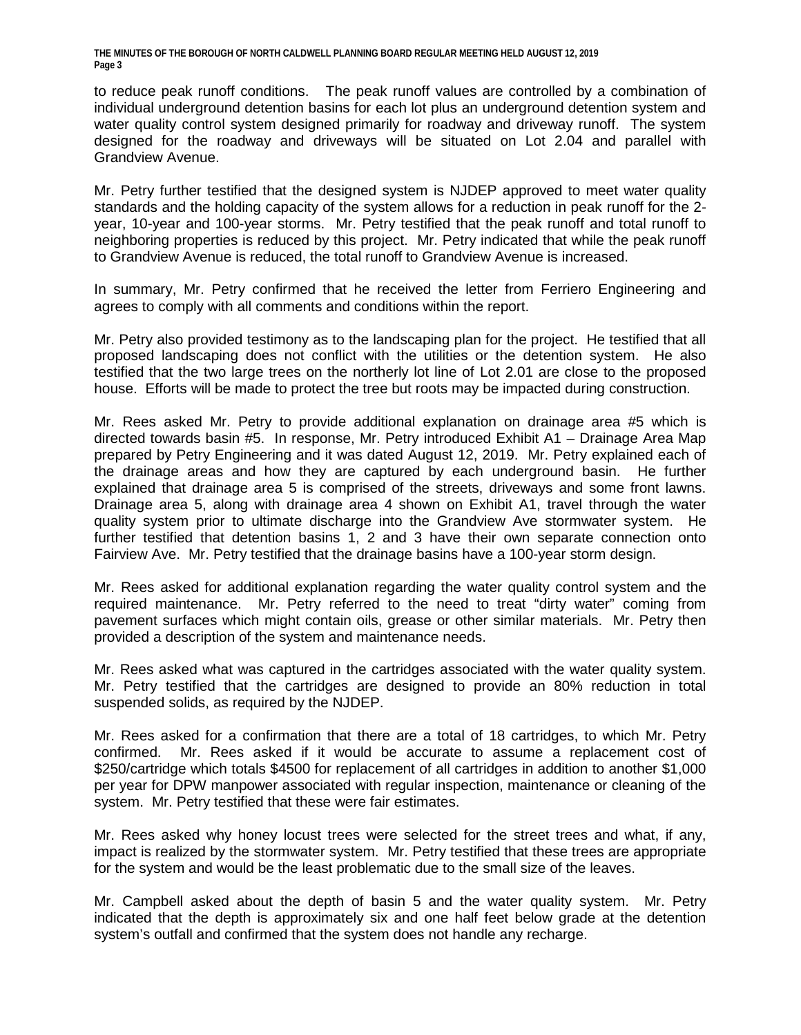to reduce peak runoff conditions. The peak runoff values are controlled by a combination of individual underground detention basins for each lot plus an underground detention system and water quality control system designed primarily for roadway and driveway runoff. The system designed for the roadway and driveways will be situated on Lot 2.04 and parallel with Grandview Avenue.

Mr. Petry further testified that the designed system is NJDEP approved to meet water quality standards and the holding capacity of the system allows for a reduction in peak runoff for the 2 year, 10-year and 100-year storms. Mr. Petry testified that the peak runoff and total runoff to neighboring properties is reduced by this project. Mr. Petry indicated that while the peak runoff to Grandview Avenue is reduced, the total runoff to Grandview Avenue is increased.

In summary, Mr. Petry confirmed that he received the letter from Ferriero Engineering and agrees to comply with all comments and conditions within the report.

Mr. Petry also provided testimony as to the landscaping plan for the project. He testified that all proposed landscaping does not conflict with the utilities or the detention system. He also testified that the two large trees on the northerly lot line of Lot 2.01 are close to the proposed house. Efforts will be made to protect the tree but roots may be impacted during construction.

Mr. Rees asked Mr. Petry to provide additional explanation on drainage area #5 which is directed towards basin #5. In response, Mr. Petry introduced Exhibit A1 – Drainage Area Map prepared by Petry Engineering and it was dated August 12, 2019. Mr. Petry explained each of the drainage areas and how they are captured by each underground basin. He further explained that drainage area 5 is comprised of the streets, driveways and some front lawns. Drainage area 5, along with drainage area 4 shown on Exhibit A1, travel through the water quality system prior to ultimate discharge into the Grandview Ave stormwater system. He further testified that detention basins 1, 2 and 3 have their own separate connection onto Fairview Ave. Mr. Petry testified that the drainage basins have a 100-year storm design.

Mr. Rees asked for additional explanation regarding the water quality control system and the required maintenance. Mr. Petry referred to the need to treat "dirty water" coming from pavement surfaces which might contain oils, grease or other similar materials. Mr. Petry then provided a description of the system and maintenance needs.

Mr. Rees asked what was captured in the cartridges associated with the water quality system. Mr. Petry testified that the cartridges are designed to provide an 80% reduction in total suspended solids, as required by the NJDEP.

Mr. Rees asked for a confirmation that there are a total of 18 cartridges, to which Mr. Petry confirmed. Mr. Rees asked if it would be accurate to assume a replacement cost of \$250/cartridge which totals \$4500 for replacement of all cartridges in addition to another \$1,000 per year for DPW manpower associated with regular inspection, maintenance or cleaning of the system. Mr. Petry testified that these were fair estimates.

Mr. Rees asked why honey locust trees were selected for the street trees and what, if any, impact is realized by the stormwater system. Mr. Petry testified that these trees are appropriate for the system and would be the least problematic due to the small size of the leaves.

Mr. Campbell asked about the depth of basin 5 and the water quality system. Mr. Petry indicated that the depth is approximately six and one half feet below grade at the detention system's outfall and confirmed that the system does not handle any recharge.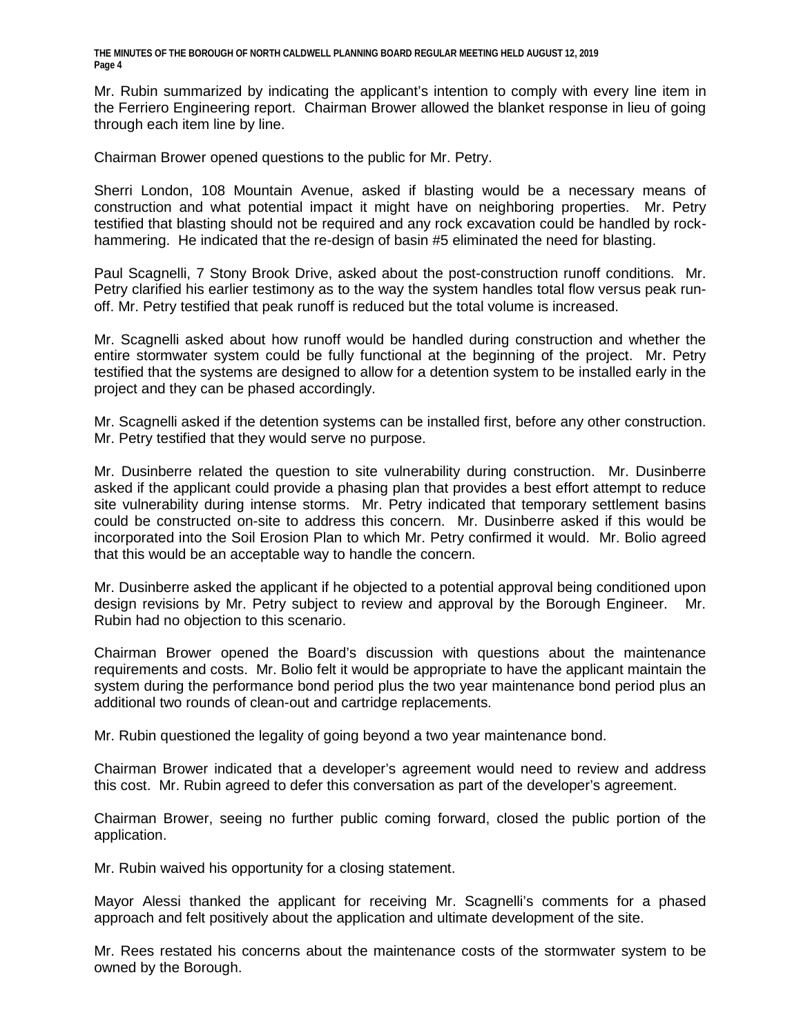Mr. Rubin summarized by indicating the applicant's intention to comply with every line item in the Ferriero Engineering report. Chairman Brower allowed the blanket response in lieu of going through each item line by line.

Chairman Brower opened questions to the public for Mr. Petry.

Sherri London, 108 Mountain Avenue, asked if blasting would be a necessary means of construction and what potential impact it might have on neighboring properties. Mr. Petry testified that blasting should not be required and any rock excavation could be handled by rockhammering. He indicated that the re-design of basin #5 eliminated the need for blasting.

Paul Scagnelli, 7 Stony Brook Drive, asked about the post-construction runoff conditions. Mr. Petry clarified his earlier testimony as to the way the system handles total flow versus peak runoff. Mr. Petry testified that peak runoff is reduced but the total volume is increased.

Mr. Scagnelli asked about how runoff would be handled during construction and whether the entire stormwater system could be fully functional at the beginning of the project. Mr. Petry testified that the systems are designed to allow for a detention system to be installed early in the project and they can be phased accordingly.

Mr. Scagnelli asked if the detention systems can be installed first, before any other construction. Mr. Petry testified that they would serve no purpose.

Mr. Dusinberre related the question to site vulnerability during construction. Mr. Dusinberre asked if the applicant could provide a phasing plan that provides a best effort attempt to reduce site vulnerability during intense storms. Mr. Petry indicated that temporary settlement basins could be constructed on-site to address this concern. Mr. Dusinberre asked if this would be incorporated into the Soil Erosion Plan to which Mr. Petry confirmed it would. Mr. Bolio agreed that this would be an acceptable way to handle the concern.

Mr. Dusinberre asked the applicant if he objected to a potential approval being conditioned upon design revisions by Mr. Petry subject to review and approval by the Borough Engineer. Mr. Rubin had no objection to this scenario.

Chairman Brower opened the Board's discussion with questions about the maintenance requirements and costs. Mr. Bolio felt it would be appropriate to have the applicant maintain the system during the performance bond period plus the two year maintenance bond period plus an additional two rounds of clean-out and cartridge replacements.

Mr. Rubin questioned the legality of going beyond a two year maintenance bond.

Chairman Brower indicated that a developer's agreement would need to review and address this cost. Mr. Rubin agreed to defer this conversation as part of the developer's agreement.

Chairman Brower, seeing no further public coming forward, closed the public portion of the application.

Mr. Rubin waived his opportunity for a closing statement.

Mayor Alessi thanked the applicant for receiving Mr. Scagnelli's comments for a phased approach and felt positively about the application and ultimate development of the site.

Mr. Rees restated his concerns about the maintenance costs of the stormwater system to be owned by the Borough.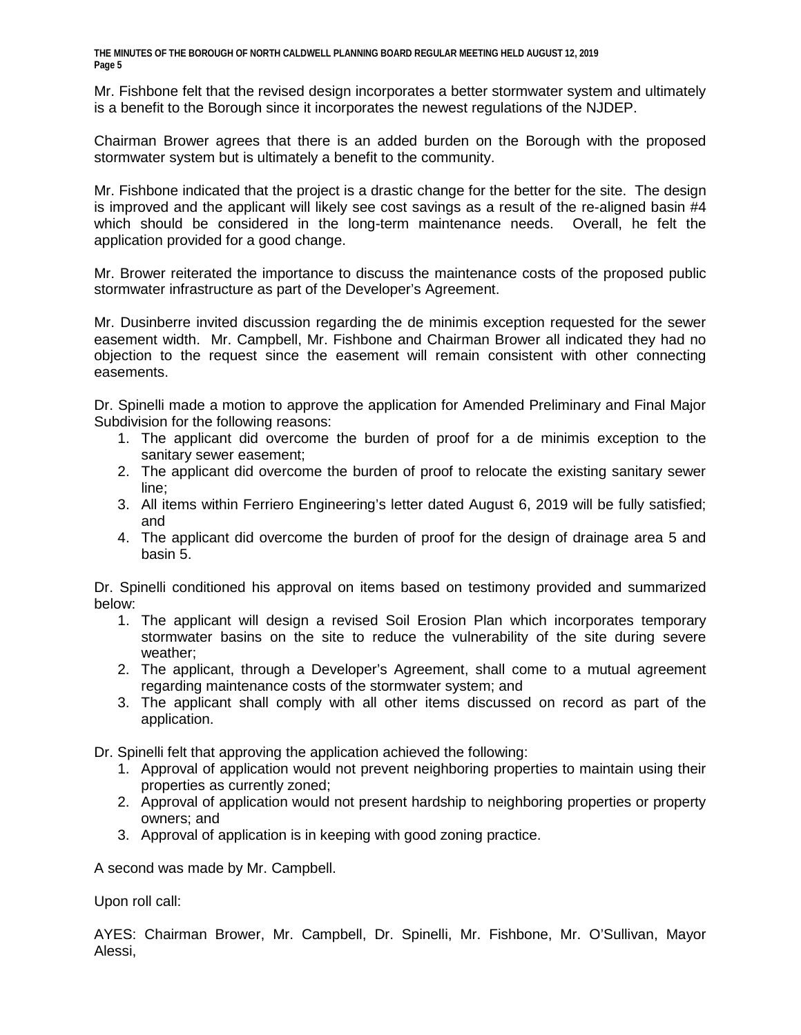Mr. Fishbone felt that the revised design incorporates a better stormwater system and ultimately is a benefit to the Borough since it incorporates the newest regulations of the NJDEP.

Chairman Brower agrees that there is an added burden on the Borough with the proposed stormwater system but is ultimately a benefit to the community.

Mr. Fishbone indicated that the project is a drastic change for the better for the site. The design is improved and the applicant will likely see cost savings as a result of the re-aligned basin #4 which should be considered in the long-term maintenance needs. Overall, he felt the application provided for a good change.

Mr. Brower reiterated the importance to discuss the maintenance costs of the proposed public stormwater infrastructure as part of the Developer's Agreement.

Mr. Dusinberre invited discussion regarding the de minimis exception requested for the sewer easement width. Mr. Campbell, Mr. Fishbone and Chairman Brower all indicated they had no objection to the request since the easement will remain consistent with other connecting easements.

Dr. Spinelli made a motion to approve the application for Amended Preliminary and Final Major Subdivision for the following reasons:

- 1. The applicant did overcome the burden of proof for a de minimis exception to the sanitary sewer easement;
- 2. The applicant did overcome the burden of proof to relocate the existing sanitary sewer line;
- 3. All items within Ferriero Engineering's letter dated August 6, 2019 will be fully satisfied; and
- 4. The applicant did overcome the burden of proof for the design of drainage area 5 and basin 5.

Dr. Spinelli conditioned his approval on items based on testimony provided and summarized below:

- 1. The applicant will design a revised Soil Erosion Plan which incorporates temporary stormwater basins on the site to reduce the vulnerability of the site during severe weather;
- 2. The applicant, through a Developer's Agreement, shall come to a mutual agreement regarding maintenance costs of the stormwater system; and
- 3. The applicant shall comply with all other items discussed on record as part of the application.

Dr. Spinelli felt that approving the application achieved the following:

- 1. Approval of application would not prevent neighboring properties to maintain using their properties as currently zoned;
- 2. Approval of application would not present hardship to neighboring properties or property owners; and
- 3. Approval of application is in keeping with good zoning practice.

A second was made by Mr. Campbell.

Upon roll call:

AYES: Chairman Brower, Mr. Campbell, Dr. Spinelli, Mr. Fishbone, Mr. O'Sullivan, Mayor Alessi,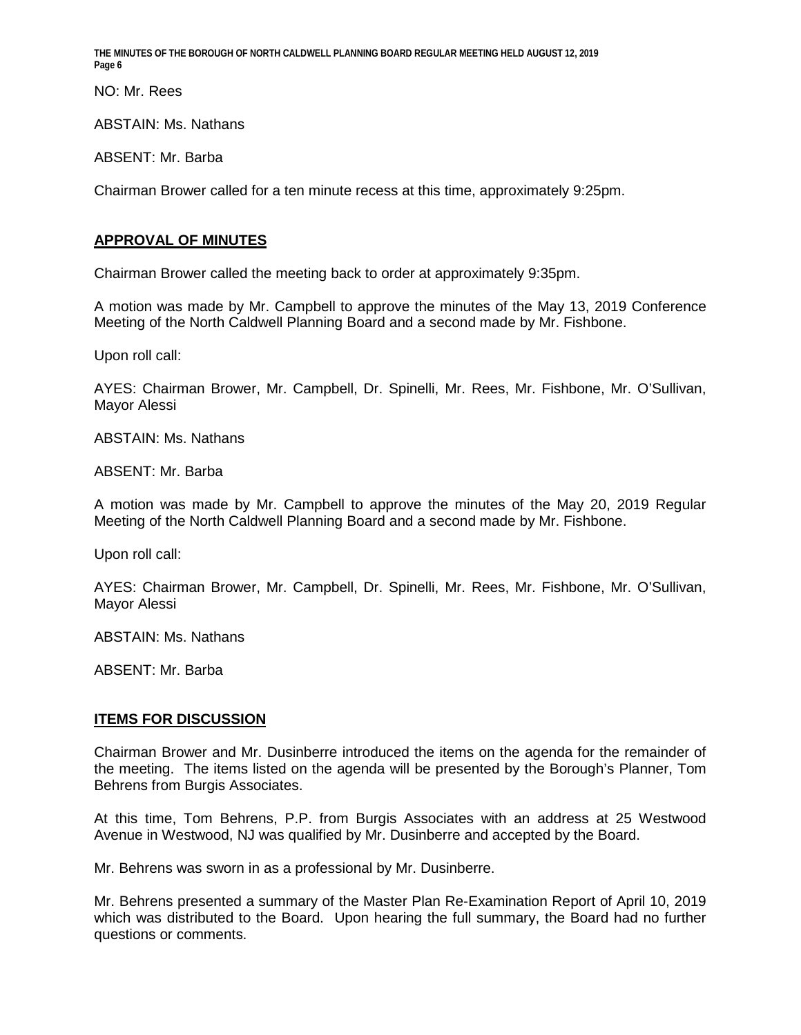NO: Mr. Rees

ABSTAIN: Ms. Nathans

ABSENT: Mr. Barba

Chairman Brower called for a ten minute recess at this time, approximately 9:25pm.

# **APPROVAL OF MINUTES**

Chairman Brower called the meeting back to order at approximately 9:35pm.

A motion was made by Mr. Campbell to approve the minutes of the May 13, 2019 Conference Meeting of the North Caldwell Planning Board and a second made by Mr. Fishbone.

Upon roll call:

AYES: Chairman Brower, Mr. Campbell, Dr. Spinelli, Mr. Rees, Mr. Fishbone, Mr. O'Sullivan, Mayor Alessi

ABSTAIN: Ms. Nathans

ABSENT: Mr. Barba

A motion was made by Mr. Campbell to approve the minutes of the May 20, 2019 Regular Meeting of the North Caldwell Planning Board and a second made by Mr. Fishbone.

Upon roll call:

AYES: Chairman Brower, Mr. Campbell, Dr. Spinelli, Mr. Rees, Mr. Fishbone, Mr. O'Sullivan, Mayor Alessi

ABSTAIN: Ms. Nathans

ABSENT: Mr. Barba

#### **ITEMS FOR DISCUSSION**

Chairman Brower and Mr. Dusinberre introduced the items on the agenda for the remainder of the meeting. The items listed on the agenda will be presented by the Borough's Planner, Tom Behrens from Burgis Associates.

At this time, Tom Behrens, P.P. from Burgis Associates with an address at 25 Westwood Avenue in Westwood, NJ was qualified by Mr. Dusinberre and accepted by the Board.

Mr. Behrens was sworn in as a professional by Mr. Dusinberre.

Mr. Behrens presented a summary of the Master Plan Re-Examination Report of April 10, 2019 which was distributed to the Board. Upon hearing the full summary, the Board had no further questions or comments.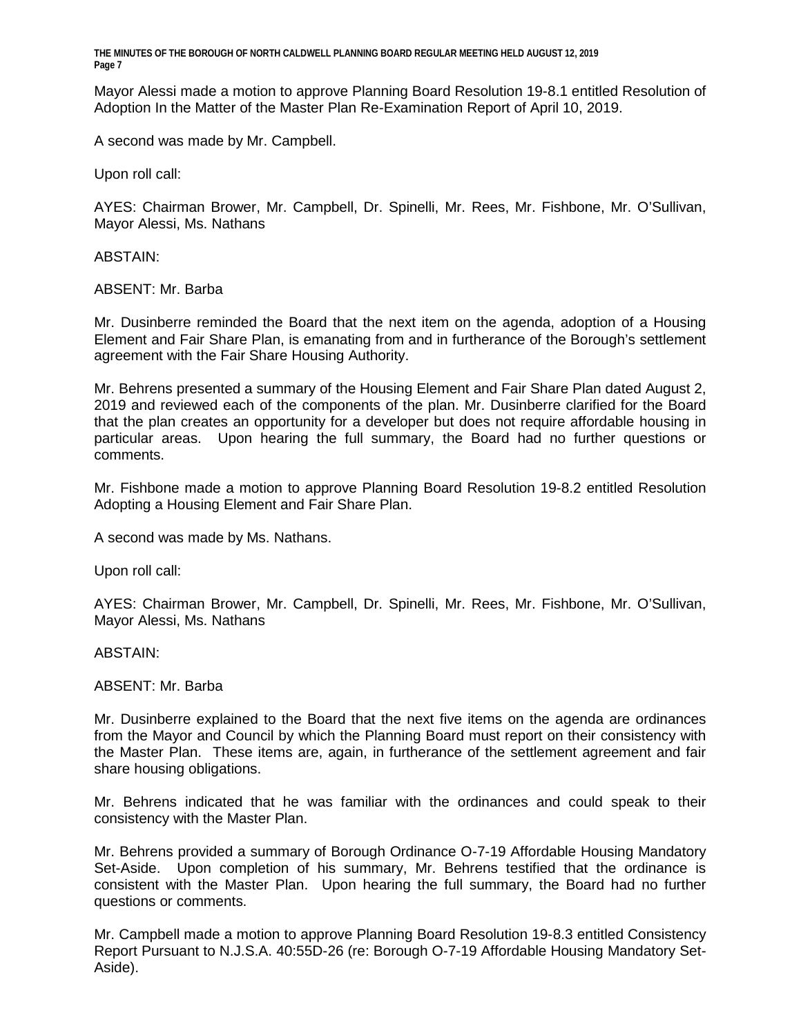Mayor Alessi made a motion to approve Planning Board Resolution 19-8.1 entitled Resolution of Adoption In the Matter of the Master Plan Re-Examination Report of April 10, 2019.

A second was made by Mr. Campbell.

Upon roll call:

AYES: Chairman Brower, Mr. Campbell, Dr. Spinelli, Mr. Rees, Mr. Fishbone, Mr. O'Sullivan, Mayor Alessi, Ms. Nathans

ABSTAIN:

ABSENT: Mr. Barba

Mr. Dusinberre reminded the Board that the next item on the agenda, adoption of a Housing Element and Fair Share Plan, is emanating from and in furtherance of the Borough's settlement agreement with the Fair Share Housing Authority.

Mr. Behrens presented a summary of the Housing Element and Fair Share Plan dated August 2, 2019 and reviewed each of the components of the plan. Mr. Dusinberre clarified for the Board that the plan creates an opportunity for a developer but does not require affordable housing in particular areas. Upon hearing the full summary, the Board had no further questions or comments.

Mr. Fishbone made a motion to approve Planning Board Resolution 19-8.2 entitled Resolution Adopting a Housing Element and Fair Share Plan.

A second was made by Ms. Nathans.

Upon roll call:

AYES: Chairman Brower, Mr. Campbell, Dr. Spinelli, Mr. Rees, Mr. Fishbone, Mr. O'Sullivan, Mayor Alessi, Ms. Nathans

ABSTAIN:

ABSENT: Mr. Barba

Mr. Dusinberre explained to the Board that the next five items on the agenda are ordinances from the Mayor and Council by which the Planning Board must report on their consistency with the Master Plan. These items are, again, in furtherance of the settlement agreement and fair share housing obligations.

Mr. Behrens indicated that he was familiar with the ordinances and could speak to their consistency with the Master Plan.

Mr. Behrens provided a summary of Borough Ordinance O-7-19 Affordable Housing Mandatory Set-Aside. Upon completion of his summary, Mr. Behrens testified that the ordinance is consistent with the Master Plan. Upon hearing the full summary, the Board had no further questions or comments.

Mr. Campbell made a motion to approve Planning Board Resolution 19-8.3 entitled Consistency Report Pursuant to N.J.S.A. 40:55D-26 (re: Borough O-7-19 Affordable Housing Mandatory Set-Aside).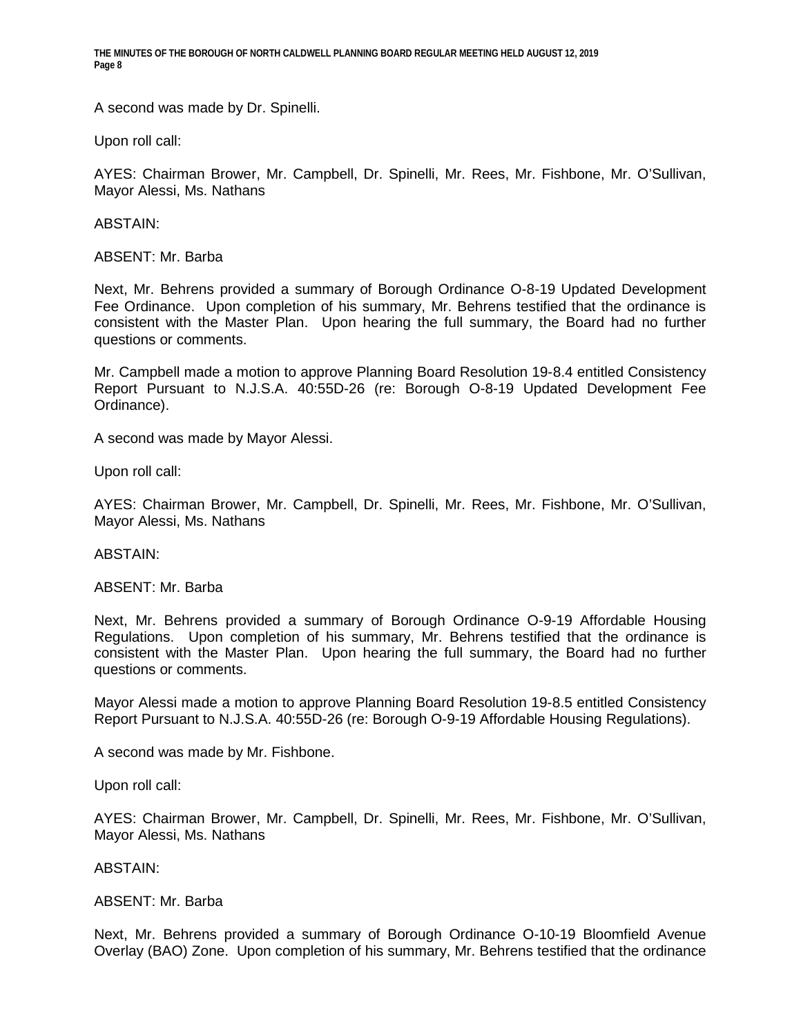A second was made by Dr. Spinelli.

Upon roll call:

AYES: Chairman Brower, Mr. Campbell, Dr. Spinelli, Mr. Rees, Mr. Fishbone, Mr. O'Sullivan, Mayor Alessi, Ms. Nathans

ABSTAIN:

ABSENT: Mr. Barba

Next, Mr. Behrens provided a summary of Borough Ordinance O-8-19 Updated Development Fee Ordinance. Upon completion of his summary, Mr. Behrens testified that the ordinance is consistent with the Master Plan. Upon hearing the full summary, the Board had no further questions or comments.

Mr. Campbell made a motion to approve Planning Board Resolution 19-8.4 entitled Consistency Report Pursuant to N.J.S.A. 40:55D-26 (re: Borough O-8-19 Updated Development Fee Ordinance).

A second was made by Mayor Alessi.

Upon roll call:

AYES: Chairman Brower, Mr. Campbell, Dr. Spinelli, Mr. Rees, Mr. Fishbone, Mr. O'Sullivan, Mayor Alessi, Ms. Nathans

ABSTAIN:

ABSENT: Mr. Barba

Next, Mr. Behrens provided a summary of Borough Ordinance O-9-19 Affordable Housing Regulations. Upon completion of his summary, Mr. Behrens testified that the ordinance is consistent with the Master Plan. Upon hearing the full summary, the Board had no further questions or comments.

Mayor Alessi made a motion to approve Planning Board Resolution 19-8.5 entitled Consistency Report Pursuant to N.J.S.A. 40:55D-26 (re: Borough O-9-19 Affordable Housing Regulations).

A second was made by Mr. Fishbone.

Upon roll call:

AYES: Chairman Brower, Mr. Campbell, Dr. Spinelli, Mr. Rees, Mr. Fishbone, Mr. O'Sullivan, Mayor Alessi, Ms. Nathans

ABSTAIN:

#### ABSENT: Mr. Barba

Next, Mr. Behrens provided a summary of Borough Ordinance O-10-19 Bloomfield Avenue Overlay (BAO) Zone. Upon completion of his summary, Mr. Behrens testified that the ordinance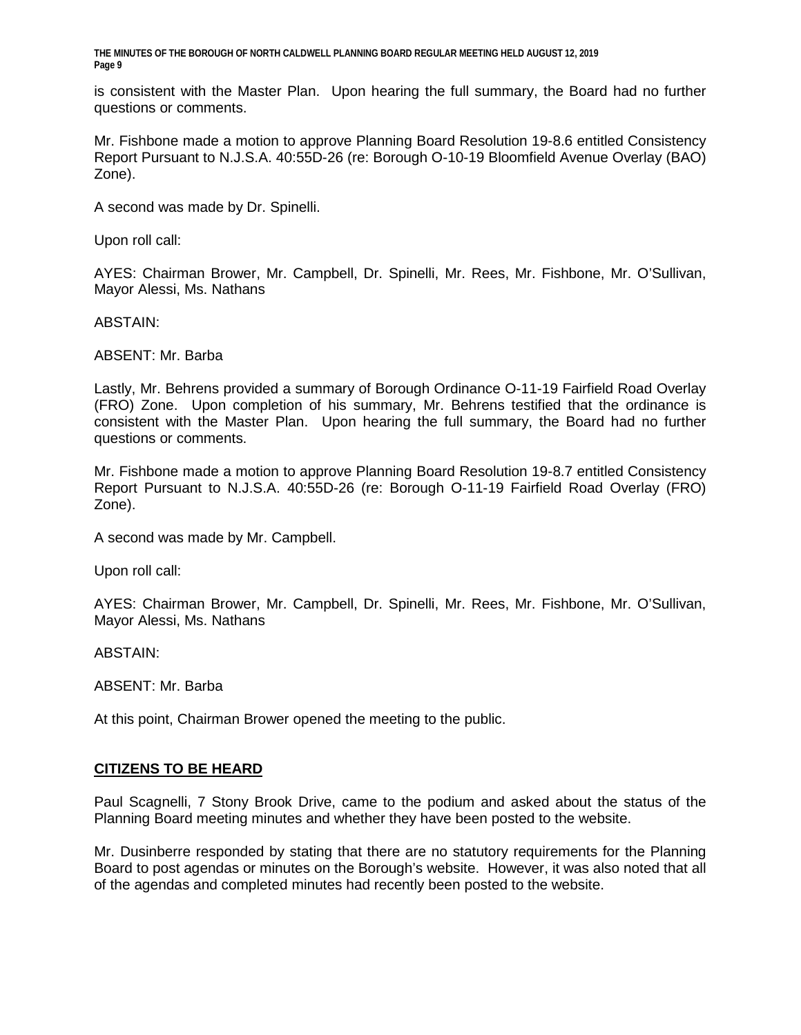is consistent with the Master Plan. Upon hearing the full summary, the Board had no further questions or comments.

Mr. Fishbone made a motion to approve Planning Board Resolution 19-8.6 entitled Consistency Report Pursuant to N.J.S.A. 40:55D-26 (re: Borough O-10-19 Bloomfield Avenue Overlay (BAO) Zone).

A second was made by Dr. Spinelli.

Upon roll call:

AYES: Chairman Brower, Mr. Campbell, Dr. Spinelli, Mr. Rees, Mr. Fishbone, Mr. O'Sullivan, Mayor Alessi, Ms. Nathans

ABSTAIN:

ABSENT: Mr. Barba

Lastly, Mr. Behrens provided a summary of Borough Ordinance O-11-19 Fairfield Road Overlay (FRO) Zone. Upon completion of his summary, Mr. Behrens testified that the ordinance is consistent with the Master Plan. Upon hearing the full summary, the Board had no further questions or comments.

Mr. Fishbone made a motion to approve Planning Board Resolution 19-8.7 entitled Consistency Report Pursuant to N.J.S.A. 40:55D-26 (re: Borough O-11-19 Fairfield Road Overlay (FRO) Zone).

A second was made by Mr. Campbell.

Upon roll call:

AYES: Chairman Brower, Mr. Campbell, Dr. Spinelli, Mr. Rees, Mr. Fishbone, Mr. O'Sullivan, Mayor Alessi, Ms. Nathans

ABSTAIN:

ABSENT: Mr. Barba

At this point, Chairman Brower opened the meeting to the public.

#### **CITIZENS TO BE HEARD**

Paul Scagnelli, 7 Stony Brook Drive, came to the podium and asked about the status of the Planning Board meeting minutes and whether they have been posted to the website.

Mr. Dusinberre responded by stating that there are no statutory requirements for the Planning Board to post agendas or minutes on the Borough's website. However, it was also noted that all of the agendas and completed minutes had recently been posted to the website.